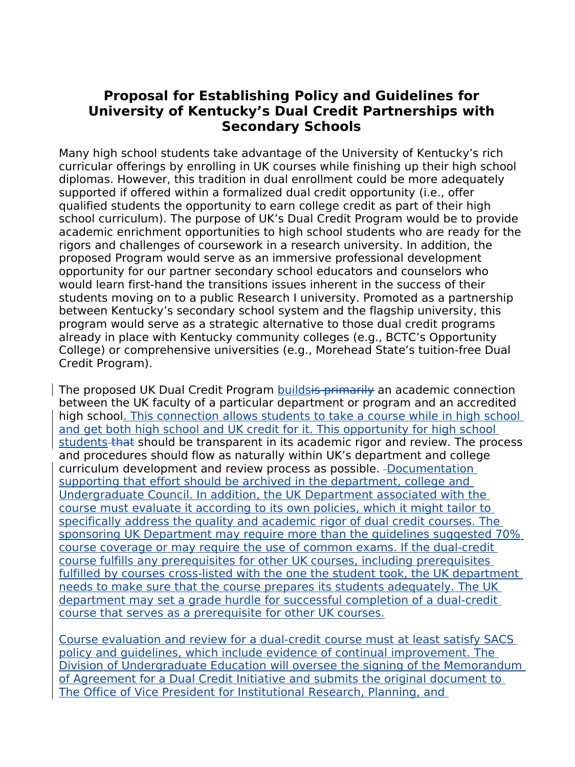# **Proposal for Establishing Policy and Guidelines for University of Kentucky's Dual Credit Partnerships with Secondary Schools**

Many high school students take advantage of the University of Kentucky's rich curricular offerings by enrolling in UK courses while finishing up their high school diplomas. However, this tradition in dual enrollment could be more adequately supported if offered within a formalized dual credit opportunity (i.e., offer qualified students the opportunity to earn college credit as part of their high school curriculum). The purpose of UK's Dual Credit Program would be to provide academic enrichment opportunities to high school students who are ready for the rigors and challenges of coursework in a research university. In addition, the proposed Program would serve as an immersive professional development opportunity for our partner secondary school educators and counselors who would learn first-hand the transitions issues inherent in the success of their students moving on to a public Research I university. Promoted as a partnership between Kentucky's secondary school system and the flagship university, this program would serve as a strategic alternative to those dual credit programs already in place with Kentucky community colleges (e.g., BCTC's Opportunity College) or comprehensive universities (e.g., Morehead State's tuition-free Dual Credit Program).

The proposed UK Dual Credit Program buildsis primarily an academic connection between the UK faculty of a particular department or program and an accredited high school. This connection allows students to take a course while in high school and get both high school and UK credit for it. This opportunity for high school students that should be transparent in its academic rigor and review. The process and procedures should flow as naturally within UK's department and college curriculum development and review process as possible. -Documentation supporting that effort should be archived in the department, college and Undergraduate Council. In addition, the UK Department associated with the course must evaluate it according to its own policies, which it might tailor to specifically address the quality and academic rigor of dual credit courses. The sponsoring UK Department may require more than the guidelines suggested 70% course coverage or may require the use of common exams. If the dual-credit course fulfills any prerequisites for other UK courses, including prerequisites fulfilled by courses cross-listed with the one the student took, the UK department needs to make sure that the course prepares its students adequately. The UK department may set a grade hurdle for successful completion of a dual-credit course that serves as a prerequisite for other UK courses.

Course evaluation and review for a dual-credit course must at least satisfy SACS policy and guidelines, which include evidence of continual improvement. The Division of Undergraduate Education will oversee the signing of the Memorandum of Agreement for a Dual Credit Initiative and submits the original document to The Office of Vice President for Institutional Research, Planning, and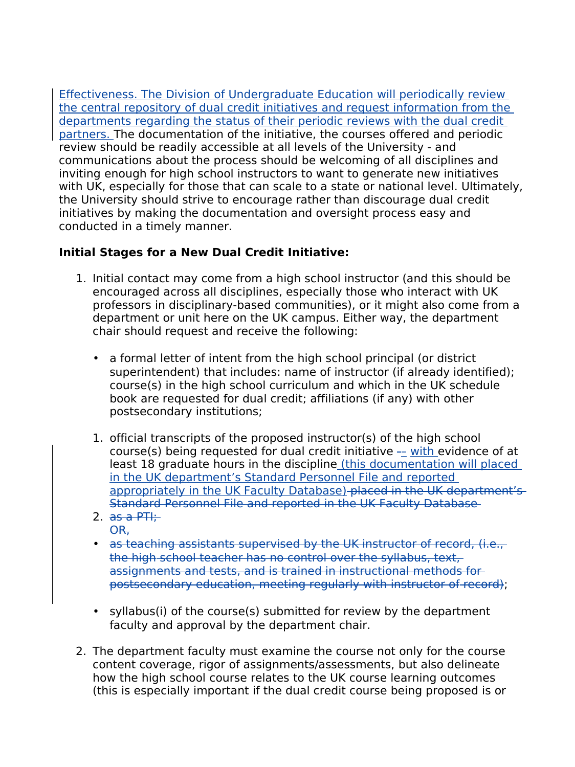Effectiveness. The Division of Undergraduate Education will periodically review the central repository of dual credit initiatives and request information from the departments regarding the status of their periodic reviews with the dual credit partners. The documentation of the initiative, the courses offered and periodic review should be readily accessible at all levels of the University - and communications about the process should be welcoming of all disciplines and inviting enough for high school instructors to want to generate new initiatives with UK, especially for those that can scale to a state or national level. Ultimately, the University should strive to encourage rather than discourage dual credit initiatives by making the documentation and oversight process easy and conducted in a timely manner.

## **Initial Stages for a New Dual Credit Initiative:**

- 1. Initial contact may come from a high school instructor (and this should be encouraged across all disciplines, especially those who interact with UK professors in disciplinary-based communities), or it might also come from a department or unit here on the UK campus. Either way, the department chair should request and receive the following:
	- a formal letter of intent from the high school principal (or district superintendent) that includes: name of instructor (if already identified); course(s) in the high school curriculum and which in the UK schedule book are requested for dual credit; affiliations (if any) with other postsecondary institutions;
	- 1. official transcripts of the proposed instructor(s) of the high school course(s) being requested for dual credit initiative -– with evidence of at least 18 graduate hours in the discipline (this documentation will placed in the UK department's Standard Personnel File and reported appropriately in the UK Faculty Database)-placed in the UK department's Standard Personnel File and reported in the UK Faculty Database
	- 2.  $\overline{as}$  a PTI: OR,
	- as teaching assistants supervised by the UK instructor of record, (i.e., the high school teacher has no control over the syllabus, text, assignments and tests, and is trained in instructional methods for postsecondary education, meeting regularly with instructor of record);
	- syllabus(i) of the course(s) submitted for review by the department faculty and approval by the department chair.
- 2. The department faculty must examine the course not only for the course content coverage, rigor of assignments/assessments, but also delineate how the high school course relates to the UK course learning outcomes (this is especially important if the dual credit course being proposed is or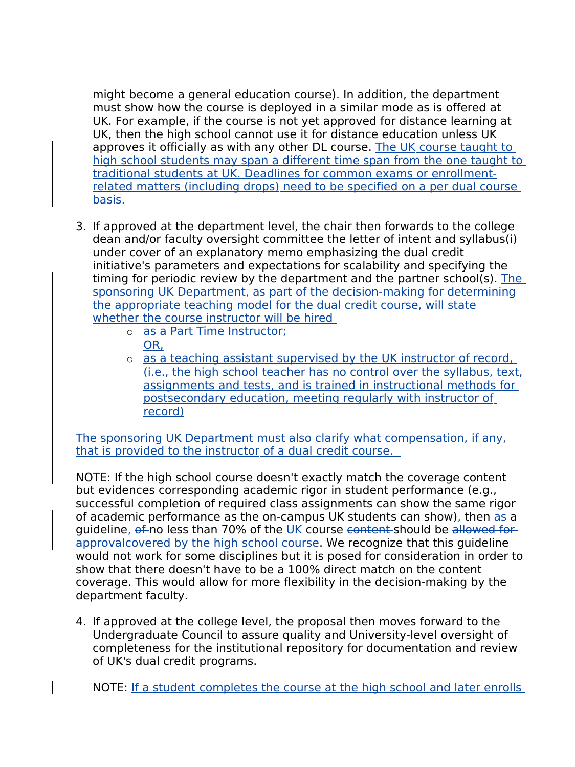might become a general education course). In addition, the department must show how the course is deployed in a similar mode as is offered at UK. For example, if the course is not yet approved for distance learning at UK, then the high school cannot use it for distance education unless UK approves it officially as with any other DL course. The UK course taught to high school students may span a different time span from the one taught to traditional students at UK. Deadlines for common exams or enrollmentrelated matters (including drops) need to be specified on a per dual course basis.

- 3. If approved at the department level, the chair then forwards to the college dean and/or faculty oversight committee the letter of intent and syllabus(i) under cover of an explanatory memo emphasizing the dual credit initiative's parameters and expectations for scalability and specifying the timing for periodic review by the department and the partner school(s). The sponsoring UK Department, as part of the decision-making for determining the appropriate teaching model for the dual credit course, will state whether the course instructor will be hired
	- o as a Part Time Instructor;
		- OR,
		- o as a teaching assistant supervised by the UK instructor of record, (i.e., the high school teacher has no control over the syllabus, text, assignments and tests, and is trained in instructional methods for postsecondary education, meeting regularly with instructor of record)

The sponsoring UK Department must also clarify what compensation, if any, that is provided to the instructor of a dual credit course.

NOTE: If the high school course doesn't exactly match the coverage content but evidences corresponding academic rigor in student performance (e.g., successful completion of required class assignments can show the same rigor of academic performance as the on-campus UK students can show), then as a guideline, of no less than 70% of the UK course content should be allowed for approval covered by the high school course. We recognize that this guideline would not work for some disciplines but it is posed for consideration in order to show that there doesn't have to be a 100% direct match on the content coverage. This would allow for more flexibility in the decision-making by the department faculty.

4. If approved at the college level, the proposal then moves forward to the Undergraduate Council to assure quality and University-level oversight of completeness for the institutional repository for documentation and review of UK's dual credit programs.

NOTE: If a student completes the course at the high school and later enrolls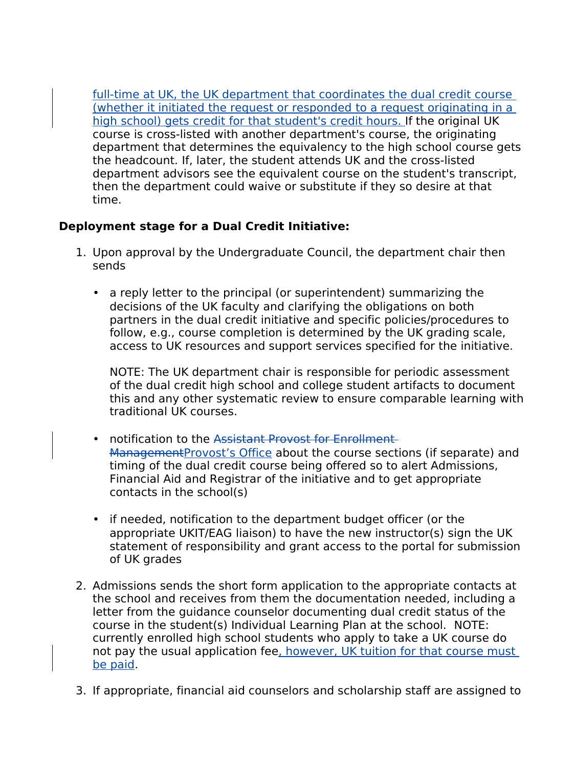full-time at UK, the UK department that coordinates the dual credit course (whether it initiated the request or responded to a request originating in a high school) gets credit for that student's credit hours. If the original UK course is cross-listed with another department's course, the originating department that determines the equivalency to the high school course gets the headcount. If, later, the student attends UK and the cross-listed department advisors see the equivalent course on the student's transcript, then the department could waive or substitute if they so desire at that time.

### **Deployment stage for a Dual Credit Initiative:**

- 1. Upon approval by the Undergraduate Council, the department chair then sends
	- a reply letter to the principal (or superintendent) summarizing the decisions of the UK faculty and clarifying the obligations on both partners in the dual credit initiative and specific policies/procedures to follow, e.g., course completion is determined by the UK grading scale, access to UK resources and support services specified for the initiative.

NOTE: The UK department chair is responsible for periodic assessment of the dual credit high school and college student artifacts to document this and any other systematic review to ensure comparable learning with traditional UK courses.

- notification to the Assistant Provost for Enrollment-ManagementProvost's Office about the course sections (if separate) and timing of the dual credit course being offered so to alert Admissions, Financial Aid and Registrar of the initiative and to get appropriate contacts in the school(s)
- if needed, notification to the department budget officer (or the appropriate UKIT/EAG liaison) to have the new instructor(s) sign the UK statement of responsibility and grant access to the portal for submission of UK grades
- 2. Admissions sends the short form application to the appropriate contacts at the school and receives from them the documentation needed, including a letter from the guidance counselor documenting dual credit status of the course in the student(s) Individual Learning Plan at the school. NOTE: currently enrolled high school students who apply to take a UK course do not pay the usual application fee, however, UK tuition for that course must be paid.
- 3. If appropriate, financial aid counselors and scholarship staff are assigned to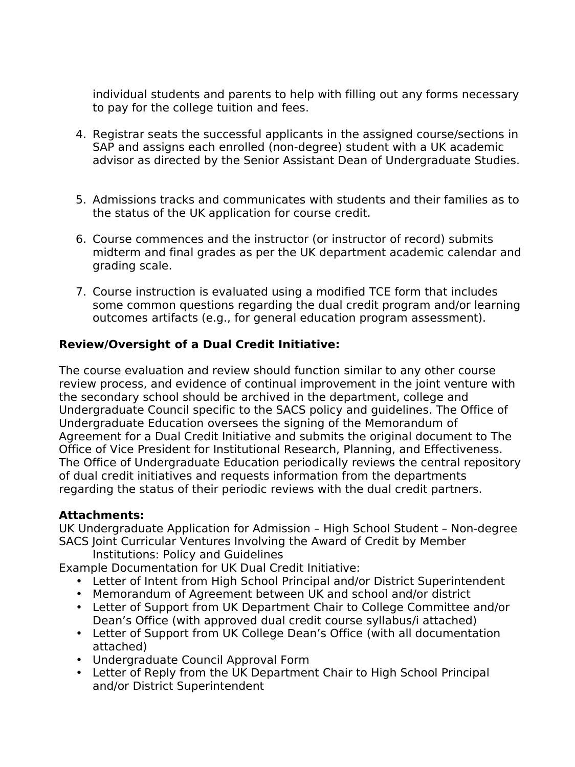individual students and parents to help with filling out any forms necessary to pay for the college tuition and fees.

- 4. Registrar seats the successful applicants in the assigned course/sections in SAP and assigns each enrolled (non-degree) student with a UK academic advisor as directed by the Senior Assistant Dean of Undergraduate Studies.
- 5. Admissions tracks and communicates with students and their families as to the status of the UK application for course credit.
- 6. Course commences and the instructor (or instructor of record) submits midterm and final grades as per the UK department academic calendar and grading scale.
- 7. Course instruction is evaluated using a modified TCE form that includes some common questions regarding the dual credit program and/or learning outcomes artifacts (e.g., for general education program assessment).

### **Review/Oversight of a Dual Credit Initiative:**

The course evaluation and review should function similar to any other course review process, and evidence of continual improvement in the joint venture with the secondary school should be archived in the department, college and Undergraduate Council specific to the SACS policy and guidelines. The Office of Undergraduate Education oversees the signing of the Memorandum of Agreement for a Dual Credit Initiative and submits the original document to The Office of Vice President for Institutional Research, Planning, and Effectiveness. The Office of Undergraduate Education periodically reviews the central repository of dual credit initiatives and requests information from the departments regarding the status of their periodic reviews with the dual credit partners.

#### **Attachments:**

UK Undergraduate Application for Admission – High School Student – Non-degree SACS Joint Curricular Ventures Involving the Award of Credit by Member

Institutions: Policy and Guidelines

Example Documentation for UK Dual Credit Initiative:

- Letter of Intent from High School Principal and/or District Superintendent
- Memorandum of Agreement between UK and school and/or district
- Letter of Support from UK Department Chair to College Committee and/or Dean's Office (with approved dual credit course syllabus/i attached)
- Letter of Support from UK College Dean's Office (with all documentation attached)
- Undergraduate Council Approval Form
- Letter of Reply from the UK Department Chair to High School Principal and/or District Superintendent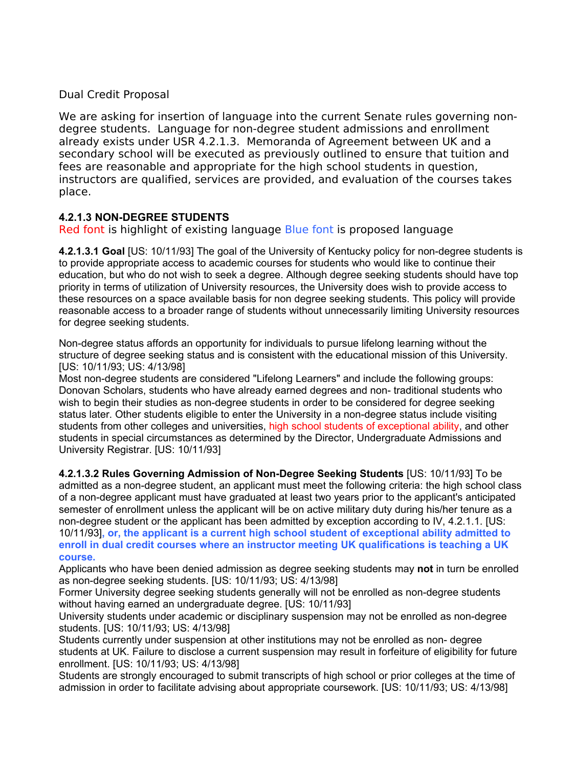#### Dual Credit Proposal

We are asking for insertion of language into the current Senate rules governing nondegree students. Language for non-degree student admissions and enrollment already exists under USR 4.2.1.3. Memoranda of Agreement between UK and a secondary school will be executed as previously outlined to ensure that tuition and fees are reasonable and appropriate for the high school students in question, instructors are qualified, services are provided, and evaluation of the courses takes place.

#### **4.2.1.3 NON-DEGREE STUDENTS**

Red font is highlight of existing language Blue font is proposed language

**4.2.1.3.1 Goal** [US: 10/11/93] The goal of the University of Kentucky policy for non-degree students is to provide appropriate access to academic courses for students who would like to continue their education, but who do not wish to seek a degree. Although degree seeking students should have top priority in terms of utilization of University resources, the University does wish to provide access to these resources on a space available basis for non degree seeking students. This policy will provide reasonable access to a broader range of students without unnecessarily limiting University resources for degree seeking students.

Non-degree status affords an opportunity for individuals to pursue lifelong learning without the structure of degree seeking status and is consistent with the educational mission of this University. [US: 10/11/93; US: 4/13/98]

Most non-degree students are considered "Lifelong Learners" and include the following groups: Donovan Scholars, students who have already earned degrees and non- traditional students who wish to begin their studies as non-degree students in order to be considered for degree seeking status later. Other students eligible to enter the University in a non-degree status include visiting students from other colleges and universities, high school students of exceptional ability, and other students in special circumstances as determined by the Director, Undergraduate Admissions and University Registrar. [US: 10/11/93]

**4.2.1.3.2 Rules Governing Admission of Non-Degree Seeking Students** [US: 10/11/93] To be admitted as a non-degree student, an applicant must meet the following criteria: the high school class of a non-degree applicant must have graduated at least two years prior to the applicant's anticipated semester of enrollment unless the applicant will be on active military duty during his/her tenure as a non-degree student or the applicant has been admitted by exception according to IV, 4.2.1.1. [US: 10/11/93]**, or, the applicant is a current high school student of exceptional ability admitted to enroll in dual credit courses where an instructor meeting UK qualifications is teaching a UK course.** 

Applicants who have been denied admission as degree seeking students may **not** in turn be enrolled as non-degree seeking students. [US: 10/11/93; US: 4/13/98]

Former University degree seeking students generally will not be enrolled as non-degree students without having earned an undergraduate degree. [US: 10/11/93]

University students under academic or disciplinary suspension may not be enrolled as non-degree students. [US: 10/11/93; US: 4/13/98]

Students currently under suspension at other institutions may not be enrolled as non- degree students at UK. Failure to disclose a current suspension may result in forfeiture of eligibility for future enrollment. [US: 10/11/93; US: 4/13/98]

Students are strongly encouraged to submit transcripts of high school or prior colleges at the time of admission in order to facilitate advising about appropriate coursework. [US: 10/11/93; US: 4/13/98]